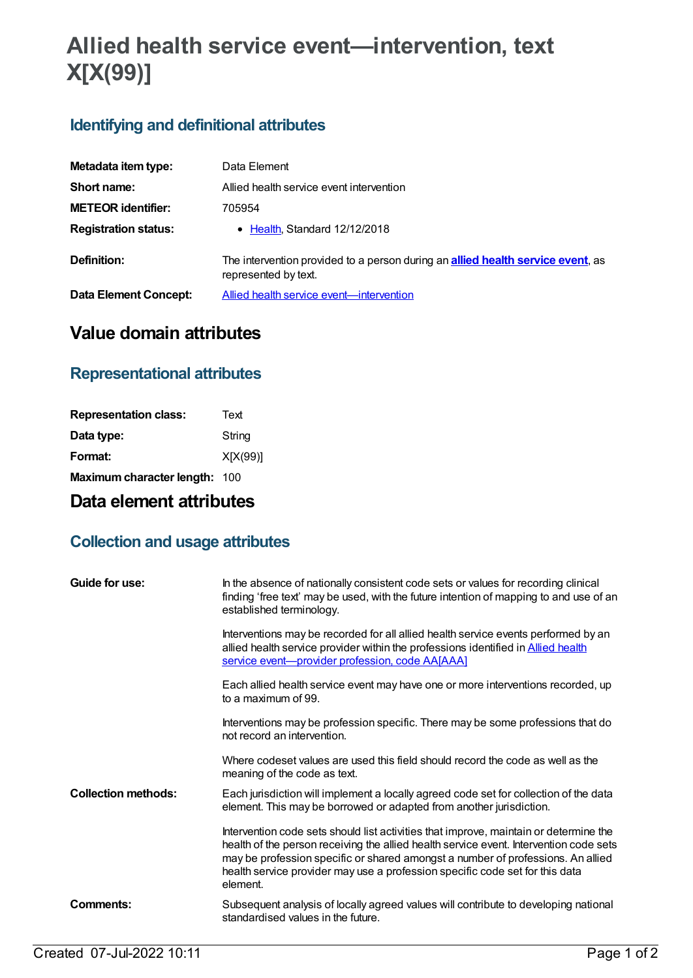# **Allied health service event—intervention, text X[X(99)]**

## **Identifying and definitional attributes**

| Metadata item type:          | Data Element                                                                                                    |
|------------------------------|-----------------------------------------------------------------------------------------------------------------|
| Short name:                  | Allied health service event intervention                                                                        |
| <b>METEOR identifier:</b>    | 705954                                                                                                          |
| <b>Registration status:</b>  | • Health, Standard 12/12/2018                                                                                   |
| Definition:                  | The intervention provided to a person during an <b>allied health service event</b> , as<br>represented by text. |
| <b>Data Element Concept:</b> | Allied health service event-intervention                                                                        |

## **Value domain attributes**

#### **Representational attributes**

| Text                          |
|-------------------------------|
| String                        |
| X[X(99)]                      |
| Maximum character length: 100 |
|                               |

## **Data element attributes**

### **Collection and usage attributes**

| Guide for use:             | In the absence of nationally consistent code sets or values for recording clinical<br>finding 'free text' may be used, with the future intention of mapping to and use of an<br>established terminology.                                                                                                                                                       |
|----------------------------|----------------------------------------------------------------------------------------------------------------------------------------------------------------------------------------------------------------------------------------------------------------------------------------------------------------------------------------------------------------|
|                            | Interventions may be recorded for all allied health service events performed by an<br>allied health service provider within the professions identified in <b>Allied health</b><br>service event-provider profession, code AA[AAA]                                                                                                                              |
|                            | Each allied health service event may have one or more interventions recorded, up<br>to a maximum of 99.                                                                                                                                                                                                                                                        |
|                            | Interventions may be profession specific. There may be some professions that do<br>not record an intervention.                                                                                                                                                                                                                                                 |
|                            | Where codeset values are used this field should record the code as well as the<br>meaning of the code as text.                                                                                                                                                                                                                                                 |
| <b>Collection methods:</b> | Each jurisdiction will implement a locally agreed code set for collection of the data<br>element. This may be borrowed or adapted from another jurisdiction.                                                                                                                                                                                                   |
|                            | Intervention code sets should list activities that improve, maintain or determine the<br>health of the person receiving the allied health service event. Intervention code sets<br>may be profession specific or shared amongst a number of professions. An allied<br>health service provider may use a profession specific code set for this data<br>element. |
| Comments:                  | Subsequent analysis of locally agreed values will contribute to developing national<br>standardised values in the future.                                                                                                                                                                                                                                      |